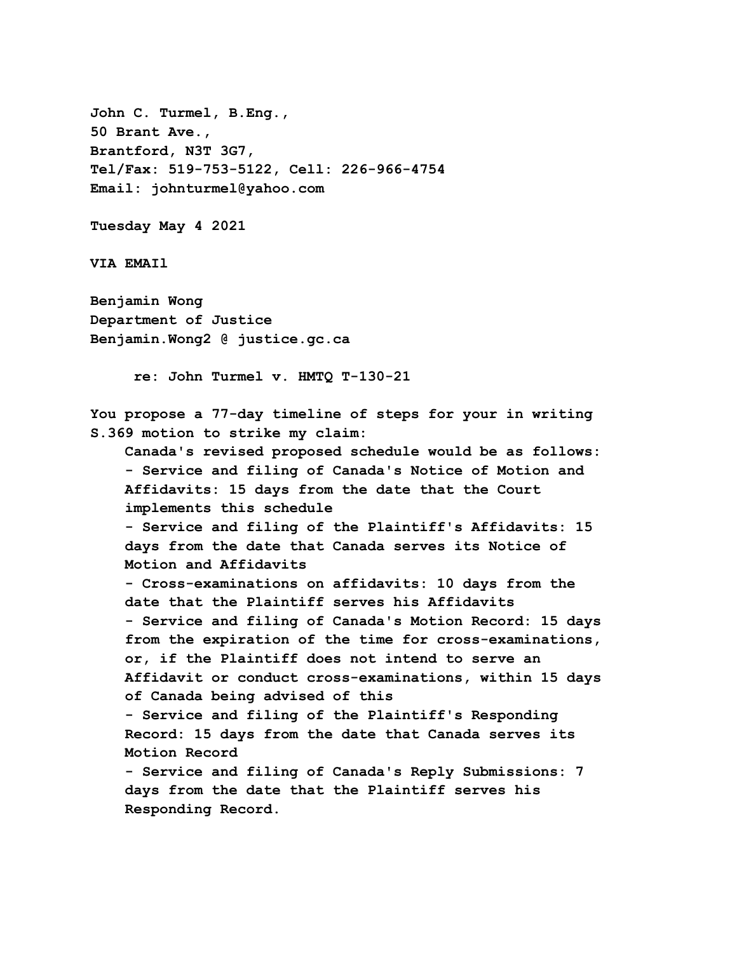**John C. Turmel, B.Eng., 50 Brant Ave., Brantford, N3T 3G7, Tel/Fax: 519-753-5122, Cell: 226-966-4754 Email: johnturmel@yahoo.com Tuesday May 4 2021 VIA EMAIl Benjamin Wong Department of Justice Benjamin.Wong2 @ justice.gc.ca re: John Turmel v. HMTQ T-130-21 You propose a 77-day timeline of steps for your in writing S.369 motion to strike my claim: Canada's revised proposed schedule would be as follows: - Service and filing of Canada's Notice of Motion and Affidavits: 15 days from the date that the Court implements this schedule - Service and filing of the Plaintiff's Affidavits: 15 days from the date that Canada serves its Notice of Motion and Affidavits - Cross-examinations on affidavits: 10 days from the date that the Plaintiff serves his Affidavits - Service and filing of Canada's Motion Record: 15 days from the expiration of the time for cross-examinations, or, if the Plaintiff does not intend to serve an Affidavit or conduct cross-examinations, within 15 days of Canada being advised of this - Service and filing of the Plaintiff's Responding Record: 15 days from the date that Canada serves its Motion Record - Service and filing of Canada's Reply Submissions: 7 days from the date that the Plaintiff serves his Responding Record.**